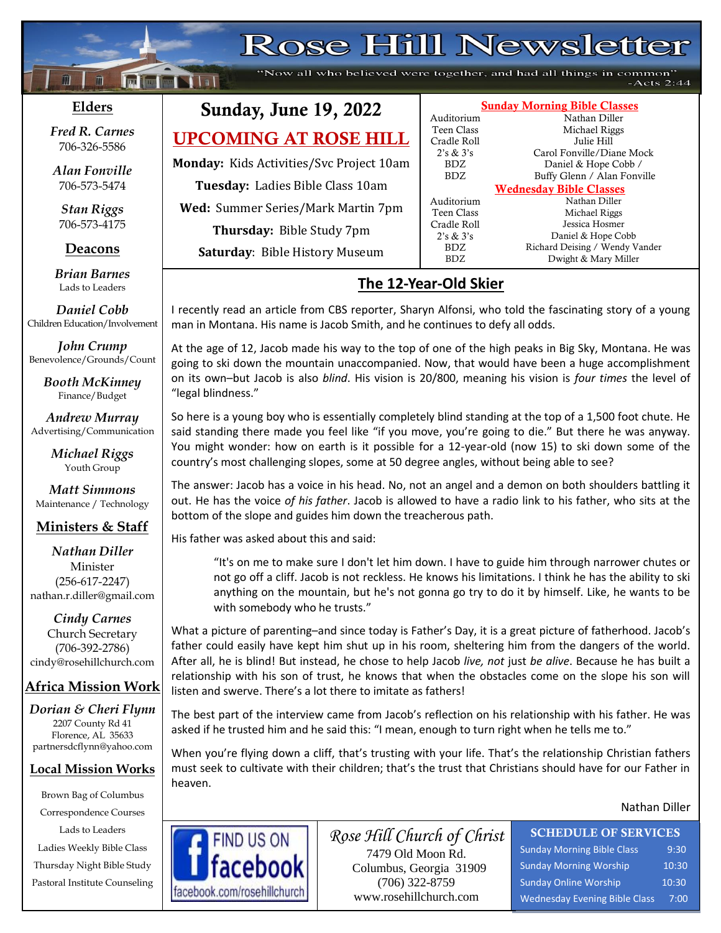# Rose Hill Newsletter

"Now all who believed were together, and had all things in common"  $-Acts 2:44$ 

Sunday Morning Bible Classes

2's & 3's Carol Fonville/Diane Mock BDZ Daniel & Hope Cobb / BDZ Buffy Glenn / Alan Fonville Wednesday Bible Classes

BDZ Richard Deising / Wendy Vander<br>BDZ Dwight & Mary Miller

Dwight & Mary Miller

Auditorium Nathan Diller Teen Class Michael Riggs Cradle Roll Julie Hill

Auditorium Nathan Diller Teen Class Michael Riggs Cradle Roll Jessica Hosmer 2's & 3's Daniel & Hope Cobb

### **Elders**

 $\mathbf{f}$ 

**;30Ma\*``**

**Failed No. 1 111** 

*Fred R. Carnes* 706-326-5586

*Alan Fonville* 706-573-5474

*Stan Riggs* 706-573-4175

#### **Deacons**

**;**  *Brian Barnes* Lads to Leaders

*Daniel Cobb* Children Education/Involvement

*John Crump* Benevolence/Grounds/Count

> *Booth McKinney* Finance/Budget

*Andrew Murray* Advertising/Communication

> *Michael Riggs* Youth Group

*Matt Simmons* Maintenance / Technology

#### **Ministers & Staff**

*Nathan Diller* Minister (256-617-2247) nathan.r.diller@gmail.com

*Cindy Carnes* Church Secretary (706-392-2786) cindy@rosehillchurch.com

### **Africa Mission Work**

*Dorian & Cheri Flynn* 2207 County Rd 41 Florence, AL 35633 [partnersdcflynn@yahoo.com](mailto:partnersdcflynn@yahoo.com)

#### **Local Mission Works**

Brown Bag of Columbus Correspondence Courses Lads to Leaders Ladies Weekly Bible Class Thursday Night Bible Study Pastoral Institute Counseling



**Monday:** Kids Activities/Svc Project 10am **Tuesday:** Ladies Bible Class 10am **Wed:** Summer Series/Mark Martin 7pm **Thursday:** Bible Study 7pm **Saturday**: Bible History Museum

# **The 12-Year-Old Skier**

I recently read an article from CBS reporter, Sharyn Alfonsi, who told the fascinating story of a young man in Montana. His name is Jacob Smith, and he continues to defy all odds.

At the age of 12, Jacob made his way to the top of one of the high peaks in Big Sky, Montana. He was going to ski down the mountain unaccompanied. Now, that would have been a huge accomplishment on its own–but Jacob is also *blind*. His vision is 20/800, meaning his vision is *four times* the level of "legal blindness."

So here is a young boy who is essentially completely blind standing at the top of a 1,500 foot chute. He said standing there made you feel like "if you move, you're going to die." But there he was anyway. You might wonder: how on earth is it possible for a 12-year-old (now 15) to ski down some of the country's most challenging slopes, some at 50 degree angles, without being able to see?

The answer: Jacob has a voice in his head. No, not an angel and a demon on both shoulders battling it out. He has the voice *of his father*. Jacob is allowed to have a radio link to his father, who sits at the bottom of the slope and guides him down the treacherous path.

His father was asked about this and said:

"It's on me to make sure I don't let him down. I have to guide him through narrower chutes or not go off a cliff. Jacob is not reckless. He knows his limitations. I think he has the ability to ski anything on the mountain, but he's not gonna go try to do it by himself. Like, he wants to be with somebody who he trusts."

What a picture of parenting–and since today is Father's Day, it is a great picture of fatherhood. Jacob's father could easily have kept him shut up in his room, sheltering him from the dangers of the world. After all, he is blind! But instead, he chose to help Jacob *live, not* just *be alive*. Because he has built a relationship with his son of trust, he knows that when the obstacles come on the slope his son will listen and swerve. There's a lot there to imitate as fathers!

The best part of the interview came from Jacob's reflection on his relationship with his father. He was asked if he trusted him and he said this: "I mean, enough to turn right when he tells me to."

When you're flying down a cliff, that's trusting with your life. That's the relationship Christian fathers must seek to cultivate with their children; that's the trust that Christians should have for our Father in heaven.

#### Nathan Diller



*Rose Hill Church of Christ* 7479 Old Moon Rd. Columbus, Georgia 31909 (706) 322-8759 www.rosehillchurch.com

# SCHEDULE OF SERVICES

Sunday Morning Bible Class 9:30 Sunday Morning Worship 10:30 Sunday Online Worship 10:30 Wednesday Evening Bible Class 7:00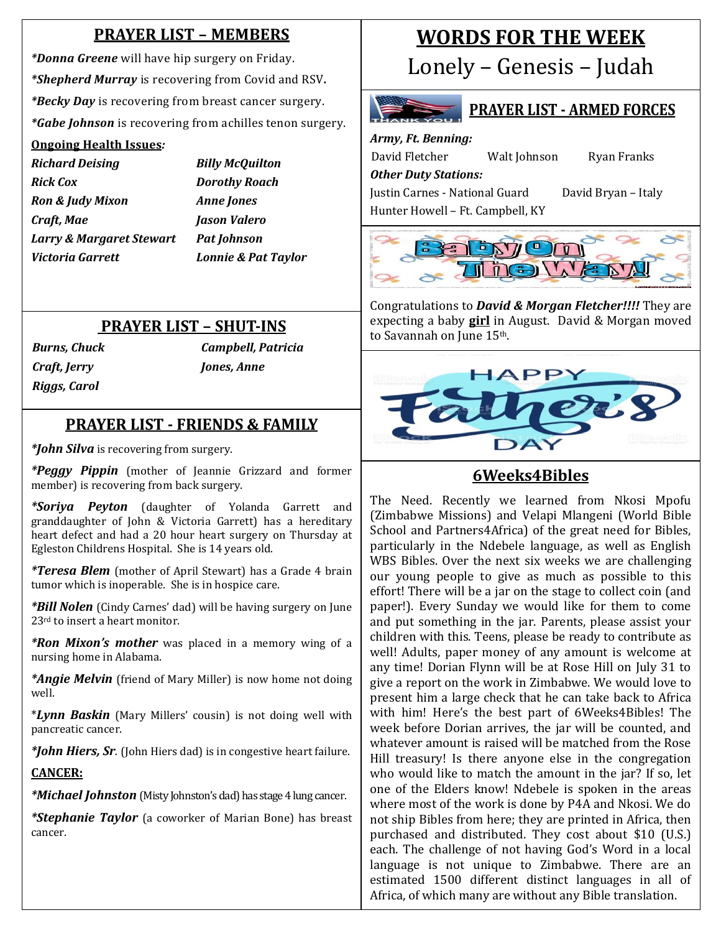# **PRAYER LIST – MEMBERS**

*\*Donna Greene* will have hip surgery on Friday. *\*Shepherd Murray* is recovering from Covid and RSV*. \*Becky Day* is recovering from breast cancer surgery. *\*Gabe Johnson* is recovering from achilles tenon surgery.

# a **Ongoing Health Issues***:*

*Richard Deising Billy McQuilton Rick Cox Dorothy Roach Ron & Judy Mixon Anne Jones Craft, Mae Jason Valero Larry & Margaret Stewart Pat Johnson Victoria Garrett Lonnie & Pat Taylor*

# **PRAYER LIST – SHUT-INS**

*Craft, Jerry Jones, Anne Riggs, Carol*

*Burns, Chuck Campbell, Patricia*

## **PRAYER LIST - FRIENDS & FAMILY**

*\*John Silva* is recovering from surgery.

 *\*Peggy Pippin* (mother of Jeannie Grizzard and former member) is recovering from back surgery.

*\*Soriya Peyton* (daughter of Yolanda Garrett and granddaughter of John & Victoria Garrett) has a hereditary heart defect and had a 20 hour heart surgery on Thursday at Egleston Childrens Hospital. She is 14 years old.

*\*Teresa Blem* (mother of April Stewart) has a Grade 4 brain tumor which is inoperable. She is in hospice care.

*\*Bill Nolen* (Cindy Carnes' dad) will be having surgery on June 23rd to insert a heart monitor.

*\*Ron Mixon's mother* was placed in a memory wing of a nursing home in Alabama.

*\*Angie Melvin* (friend of Mary Miller) is now home not doing well.

\**Lynn Baskin* (Mary Millers' cousin) is not doing well with pancreatic cancer.

*\*John Hiers, Sr.* (John Hiers dad) is in congestive heart failure.

#### **CANCER:**

*\*Michael Johnston* (Misty Johnston's dad) has stage 4 lung cancer.

*\*Stephanie Taylor* (a coworker of Marian Bone) has breast cancer.

# **WORDS FOR THE WEEK**

Lonely – Genesis – Judah

# **PRAYER LIST - ARMED FORCES**

*Army, Ft. Benning:* David Fletcher Walt Johnson Ryan Franks

*Other Duty Stations:* Justin Carnes - National Guard David Bryan – Italy Hunter Howell – Ft. Campbell, KY



Congratulations to *David & Morgan Fletcher!!!!* They are expecting a baby **girl** in August. David & Morgan moved to Savannah on June 15th.



# **6Weeks4Bibles**

The Need. Recently we learned from Nkosi Mpofu (Zimbabwe Missions) and Velapi Mlangeni (World Bible School and Partners4Africa) of the great need for Bibles, particularly in the Ndebele language, as well as English WBS Bibles. Over the next six weeks we are challenging our young people to give as much as possible to this effort! There will be a jar on the stage to collect coin (and paper!). Every Sunday we would like for them to come and put something in the jar. Parents, please assist your children with this. Teens, please be ready to contribute as well! Adults, paper money of any amount is welcome at any time! Dorian Flynn will be at Rose Hill on July 31 to give a report on the work in Zimbabwe. We would love to present him a large check that he can take back to Africa with him! Here's the best part of 6Weeks4Bibles! The week before Dorian arrives, the jar will be counted, and whatever amount is raised will be matched from the Rose Hill treasury! Is there anyone else in the congregation who would like to match the amount in the jar? If so, let one of the Elders know! Ndebele is spoken in the areas where most of the work is done by P4A and Nkosi. We do not ship Bibles from here; they are printed in Africa, then purchased and distributed. They cost about \$10 (U.S.) each. The challenge of not having God's Word in a local language is not unique to Zimbabwe. There are an estimated 1500 different distinct languages in all of Africa, of which many are without any Bible translation.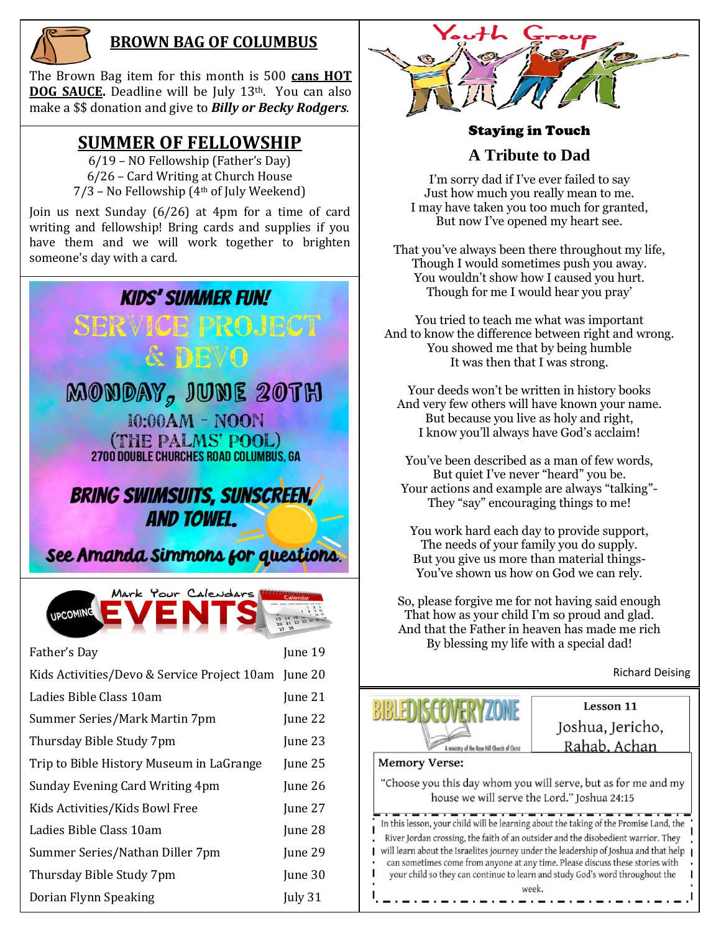

# **BROWN BAG OF COLUMBUS**

The Brown Bag item for this month is 500 **cans HOT DOG SAUCE.** Deadline will be July 13<sup>th</sup>. You can also make a \$\$ donation and give to *Billy or Becky Rodgers*.

# **SUMMER OF FELLOWSHIP**

6/19 – NO Fellowship (Father's Day) 6/26 – Card Writing at Church House  $7/3$  – No Fellowship  $(4<sup>th</sup>$  of July Weekend)

Join us next Sunday (6/26) at 4pm for a time of card writing and fellowship! Bring cards and supplies if you have them and we will work together to brighten someone's day with a card.

# **KIDS' SUMMER FUN!** BBEVO MONDAY, JUNE 20TH 10:00AM - NOON

(THE PALMS' POOL) 2700 DOUBLE CHURCHES ROAD COLUMBUS, GA

**BRING SWIMSUITS, SUNSCREEN, AND TOWEL.** 

See Amanda Simmons for questions.



| Father's Day                                        | June 19 |
|-----------------------------------------------------|---------|
| Kids Activities/Devo & Service Project 10am June 20 |         |
| Ladies Bible Class 10am                             | June 21 |
| Summer Series/Mark Martin 7pm                       | June 22 |
| Thursday Bible Study 7pm                            | June 23 |
| Trip to Bible History Museum in LaGrange            | June 25 |
| Sunday Evening Card Writing 4pm                     | June 26 |
| Kids Activities/Kids Bowl Free                      | June 27 |
| Ladies Bible Class 10am                             | June 28 |
| Summer Series/Nathan Diller 7pm                     | June 29 |
| Thursday Bible Study 7pm                            | June 30 |
| Dorian Flynn Speaking                               | July 31 |



### Staying in Touch

#### **A Tribute to Dad**

I'm sorry dad if I've ever failed to say Just how much you really mean to me. I may have taken you too much for granted, But now I've opened my heart see.

That you've always been there throughout my life, Though I would sometimes push you away. You wouldn't show how I caused you hurt. Though for me I would hear you pray'

You tried to teach me what was important And to know the difference between right and wrong. You showed me that by being humble It was then that I was strong.

Your deeds won't be written in history books And very few others will have known your name. But because you live as holy and right, I kn0w you'll always have God's acclaim!

You've been described as a man of few words, But quiet I've never "heard" you be. Your actions and example are always "talking"- They "say" encouraging things to me!

You work hard each day to provide support, The needs of your family you do supply. But you give us more than material things-You've shown us how on God we can rely.

So, please forgive me for not having said enough That how as your child I'm so proud and glad. And that the Father in heaven has made me rich By blessing my life with a special dad!

Richard Deising



Lesson 11 Joshua, Jericho, Rahab, Achan

**Memory Verse:** 

"Choose you this day whom you will serve, but as for me and my house we will serve the Lord." Joshua 24:15

In this lesson, your child will be learning about the taking of the Promise Land, the River Jordan crossing, the faith of an outsider and the disobedient warrior. They will learn about the Israelites journey under the leadership of Joshua and that help can sometimes come from anyone at any time. Please discuss these stories with your child so they can continue to learn and study God's word throughout the week.